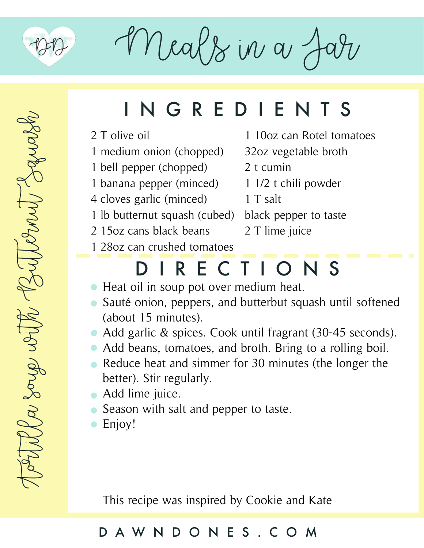

Meals in a J

# INGREDIENTS

- 2 T olive oil
- 1 medium onion (chopped)
- 1 bell pepper (chopped)
- 1 banana pepper (minced) 1 1/2 t chili powder
- 4 cloves garlic (minced)
- 1 lb butternut squash (cubed) black pepper to taste
- 2 15oz cans black beans
- 1 10oz can Rotel tomatoes
- 32oz vegetable broth
- 2 t cumin
- 
- 1 T salt
	-
	- 2 T lime juice
- 1 28oz can crushed tomatoes

### DIRECTIONS

- Heat oil in soup pot over medium heat.
- Sauté onion, peppers, and butterbut squash until softened (about 15 minutes).
- Add garlic & spices. Cook until fragrant (30-45 seconds).
- Add beans, tomatoes, and broth. Bring to a rolling boil.
- Reduce heat and simmer for 30 minutes (the longer the better). Stir regularly.
- Add lime juice.
- Season with salt and pepper to taste.
- Enjoy!

This recipe was inspired by Cookie and Kate

#### DAWNDONES.COM